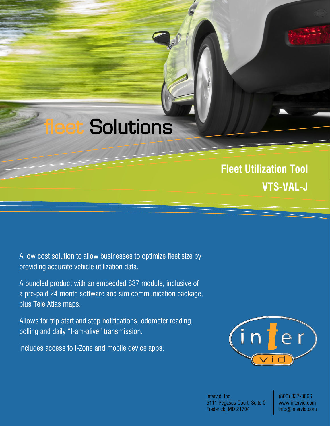**eet Solutions** 

**Fleet Utilization Tool VTS-VAL-J**

A low cost solution to allow businesses to optimize fleet size by providing accurate vehicle utilization data.

A bundled product with an embedded 837 module, inclusive of a pre-paid 24 month software and sim communication package, plus Tele Atlas maps.

Allows for trip start and stop notifications, odometer reading, polling and daily "I-am-alive" transmission.

Includes access to I-Zone and mobile device apps.



Intervid, Inc. 5111 Pegasus Court, Suite C Frederick, MD 21704

(800) 337-8066 www.intervid.com info@intervid.com